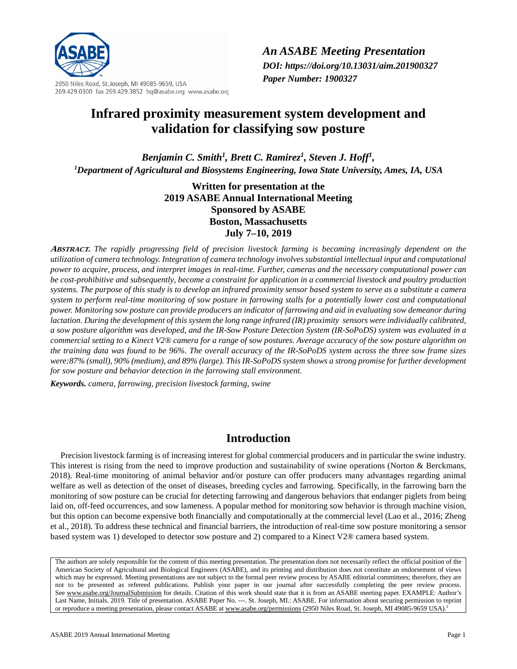

2950 Niles Road, St. Joseph, MI 49085-9659, USA 269.429.0300 fax 269.429.3852 hq@asabe.org www.asabe.org *An ASABE Meeting Presentation DOI: https://doi.org/10.13031/aim.201900327 Paper Number: 1900327*

# **Infrared proximity measurement system development and validation for classifying sow posture**

*Benjamin C. Smith<sup>1</sup>, Brett C. Ramirez<sup>1</sup>, Steven J. Hoff<sup>1</sup>,*<br><sup>*I*</sup> Department of Acricultural and Biosystems Engineering, Jowa State Universit *Department of Agricultural and Biosystems Engineering, Iowa State University, Ames, IA, USA* 

> **Written for presentation at the 2019 ASABE Annual International Meeting Sponsored by ASABE Boston, Massachusetts July 7–10, 2019**

**ABSTRACT.** *The rapidly progressing field of precision livestock farming is becoming increasingly dependent on the utilization of camera technology. Integration of camera technology involves substantial intellectual input and computational power to acquire, process, and interpret images in real-time. Further, cameras and the necessary computational power can be cost-prohibitive and subsequently, become a constraint for application in a commercial livestock and poultry production systems. The purpose of this study is to develop an infrared proximity sensor based system to serve as a substitute a camera system to perform real-time monitoring of sow posture in farrowing stalls for a potentially lower cost and computational power. Monitoring sow posture can provide producers an indicator of farrowing and aid in evaluating sow demeanor during lactation. During the development of this system the long range infrared (IR) proximity sensors were individually calibrated, a sow posture algorithm was developed, and the IR-Sow Posture Detection System (IR-SoPoDS) system was evaluated in a commercial setting to a Kinect V2® camera for a range of sow postures. Average accuracy of the sow posture algorithm on the training data was found to be 96%. The overall accuracy of the IR-SoPoDS system across the three sow frame sizes were:87% (small), 90% (medium), and 89% (large). This IR-SoPoDS system shows a strong promise for further development for sow posture and behavior detection in the farrowing stall environment.*

*Keywords. camera, farrowing, precision livestock farming, swine*

# **Introduction**

Precision livestock farming is of increasing interest for global commercial producers and in particular the swine industry. This interest is rising from the need to improve production and sustainability of swine operations (Norton & Berckmans, 2018). Real-time monitoring of animal behavior and/or posture can offer producers many advantages regarding animal welfare as well as detection of the onset of diseases, breeding cycles and farrowing. Specifically, in the farrowing barn the monitoring of sow posture can be crucial for detecting farrowing and dangerous behaviors that endanger piglets from being laid on, off-feed occurrences, and sow lameness. A popular method for monitoring sow behavior is through machine vision, but this option can become expensive both financially and computationally at the commercial level (Lao et al., 2016; Zheng et al., 2018). To address these technical and financial barriers, the introduction of real-time sow posture monitoring a sensor based system was 1) developed to detector sow posture and 2) compared to a Kinect V2® camera based system.

The authors are solely responsible for the content of this meeting presentation. The presentation does not necessarily reflect the official position of the American Society of Agricultural and Biological Engineers (ASABE), and its printing and distribution does not constitute an endorsement of views which may be expressed. Meeting presentations are not subject to the formal peer review process by ASABE editorial committees; therefore, they are not to be presented as refereed publications. Publish your paper in our journal after successfully completing the peer review process. See [www.asabe.org/JournalSubmission](http://www.asabe.org/JournalSubmission) for details. Citation of this work should state that it is from an ASABE meeting paper. EXAMPLE: Author's Last Name, Initials. 2019. Title of presentation. ASABE Paper No. ---. St. Joseph, MI.: ASABE. For information about securing permission to reprint or reproduce a meeting presentation, please contact ASABE a[t www.asabe.org/permissions](http://www.asabe.org/permissions) (2950 Niles Road, St. Joseph, MI 49085-9659 USA).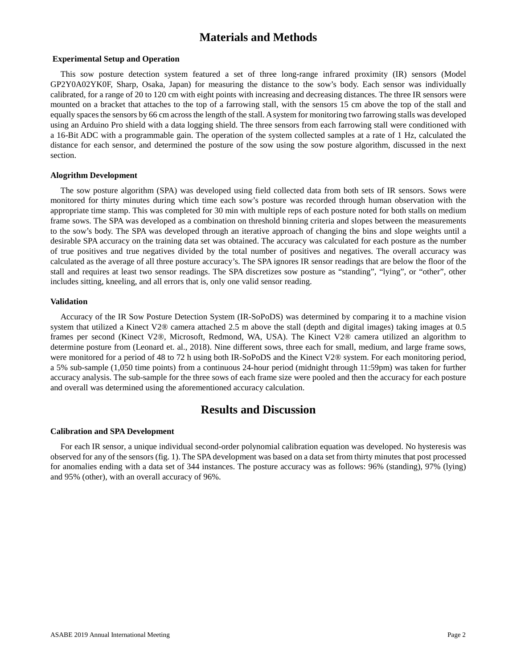# **Materials and Methods**

### **Experimental Setup and Operation**

This sow posture detection system featured a set of three long-range infrared proximity (IR) sensors (Model GP2Y0A02YK0F, Sharp, Osaka, Japan) for measuring the distance to the sow's body. Each sensor was individually calibrated, for a range of 20 to 120 cm with eight points with increasing and decreasing distances. The three IR sensors were mounted on a bracket that attaches to the top of a farrowing stall, with the sensors 15 cm above the top of the stall and equally spaces the sensors by 66 cm across the length of the stall. A system for monitoring two farrowing stalls was developed using an Arduino Pro shield with a data logging shield. The three sensors from each farrowing stall were conditioned with a 16-Bit ADC with a programmable gain. The operation of the system collected samples at a rate of 1 Hz, calculated the distance for each sensor, and determined the posture of the sow using the sow posture algorithm, discussed in the next section.

### **Alogrithm Development**

The sow posture algorithm (SPA) was developed using field collected data from both sets of IR sensors. Sows were monitored for thirty minutes during which time each sow's posture was recorded through human observation with the appropriate time stamp. This was completed for 30 min with multiple reps of each posture noted for both stalls on medium frame sows. The SPA was developed as a combination on threshold binning criteria and slopes between the measurements to the sow's body. The SPA was developed through an iterative approach of changing the bins and slope weights until a desirable SPA accuracy on the training data set was obtained. The accuracy was calculated for each posture as the number of true positives and true negatives divided by the total number of positives and negatives. The overall accuracy was calculated as the average of all three posture accuracy's. The SPA ignores IR sensor readings that are below the floor of the stall and requires at least two sensor readings. The SPA discretizes sow posture as "standing", "lying", or "other", other includes sitting, kneeling, and all errors that is, only one valid sensor reading.

### **Validation**

Accuracy of the IR Sow Posture Detection System (IR-SoPoDS) was determined by comparing it to a machine vision system that utilized a Kinect V2® camera attached 2.5 m above the stall (depth and digital images) taking images at 0.5 frames per second (Kinect V2®, Microsoft, Redmond, WA, USA). The Kinect V2® camera utilized an algorithm to determine posture from (Leonard et. al., 2018). Nine different sows, three each for small, medium, and large frame sows, were monitored for a period of 48 to 72 h using both IR-SoPoDS and the Kinect V2® system. For each monitoring period, a 5% sub-sample (1,050 time points) from a continuous 24-hour period (midnight through 11:59pm) was taken for further accuracy analysis. The sub-sample for the three sows of each frame size were pooled and then the accuracy for each posture and overall was determined using the aforementioned accuracy calculation.

### **Results and Discussion**

### **Calibration and SPA Development**

For each IR sensor, a unique individual second-order polynomial calibration equation was developed. No hysteresis was observed for any of the sensors (fig. 1). The SPA development was based on a data set from thirty minutes that post processed for anomalies ending with a data set of 344 instances. The posture accuracy was as follows: 96% (standing), 97% (lying) and 95% (other), with an overall accuracy of 96%.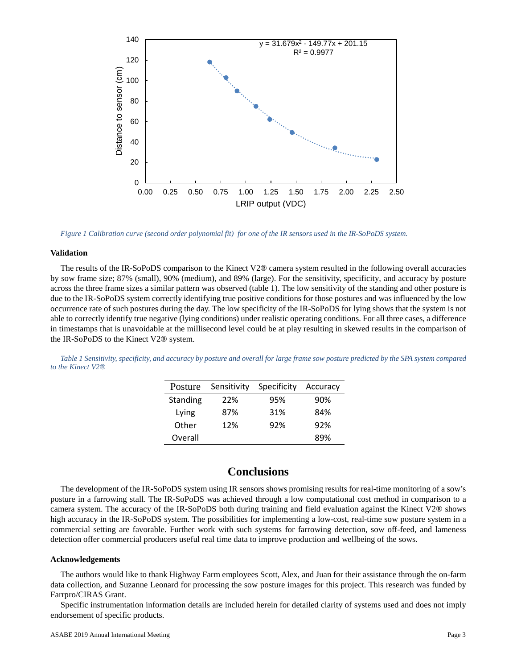

*Figure 1 Calibration curve (second order polynomial fit) for one of the IR sensors used in the IR-SoPoDS system.*

### **Validation**

The results of the IR-SoPoDS comparison to the Kinect V2® camera system resulted in the following overall accuracies by sow frame size; 87% (small), 90% (medium), and 89% (large). For the sensitivity, specificity, and accuracy by posture across the three frame sizes a similar pattern was observed (table 1). The low sensitivity of the standing and other posture is due to the IR-SoPoDS system correctly identifying true positive conditions for those postures and was influenced by the low occurrence rate of such postures during the day. The low specificity of the IR-SoPoDS for lying shows that the system is not able to correctly identify true negative (lying conditions) under realistic operating conditions. For all three cases, a difference in timestamps that is unavoidable at the millisecond level could be at play resulting in skewed results in the comparison of the IR-SoPoDS to the Kinect V2® system.

*Table 1 Sensitivity, specificity, and accuracy by posture and overall for large frame sow posture predicted by the SPA system compared to the Kinect V2®*

| Posture  | Sensitivity | Specificity | Accuracy |
|----------|-------------|-------------|----------|
| Standing | 22%         | 95%         | 90%      |
| Lying    | 87%         | 31%         | 84%      |
| Other    | 12%         | 92%         | 92%      |
| Overall  |             |             | 89%      |

## **Conclusions**

The development of the IR-SoPoDS system using IR sensors shows promising results for real-time monitoring of a sow's posture in a farrowing stall. The IR-SoPoDS was achieved through a low computational cost method in comparison to a camera system. The accuracy of the IR-SoPoDS both during training and field evaluation against the Kinect V2® shows high accuracy in the IR-SoPoDS system. The possibilities for implementing a low-cost, real-time sow posture system in a commercial setting are favorable. Further work with such systems for farrowing detection, sow off-feed, and lameness detection offer commercial producers useful real time data to improve production and wellbeing of the sows.

### **Acknowledgements**

The authors would like to thank Highway Farm employees Scott, Alex, and Juan for their assistance through the on-farm data collection, and Suzanne Leonard for processing the sow posture images for this project. This research was funded by Farrpro/CIRAS Grant.

Specific instrumentation information details are included herein for detailed clarity of systems used and does not imply endorsement of specific products.